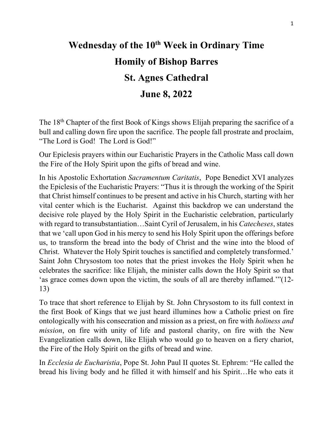## **Wednesday of the 10th Week in Ordinary Time Homily of Bishop Barres St. Agnes Cathedral June 8, 2022**

The 18th Chapter of the first Book of Kings shows Elijah preparing the sacrifice of a bull and calling down fire upon the sacrifice. The people fall prostrate and proclaim, "The Lord is God! The Lord is God!"

Our Epiclesis prayers within our Eucharistic Prayers in the Catholic Mass call down the Fire of the Holy Spirit upon the gifts of bread and wine.

In his Apostolic Exhortation *Sacramentum Caritatis*, Pope Benedict XVI analyzes the Epiclesis of the Eucharistic Prayers: "Thus it is through the working of the Spirit that Christ himself continues to be present and active in his Church, starting with her vital center which is the Eucharist. Against this backdrop we can understand the decisive role played by the Holy Spirit in the Eucharistic celebration, particularly with regard to transubstantiation…Saint Cyril of Jerusalem, in his *Catecheses*, states that we 'call upon God in his mercy to send his Holy Spirit upon the offerings before us, to transform the bread into the body of Christ and the wine into the blood of Christ. Whatever the Holy Spirit touches is sanctified and completely transformed.' Saint John Chrysostom too notes that the priest invokes the Holy Spirit when he celebrates the sacrifice: like Elijah, the minister calls down the Holy Spirit so that 'as grace comes down upon the victim, the souls of all are thereby inflamed.'"(12- 13)

To trace that short reference to Elijah by St. John Chrysostom to its full context in the first Book of Kings that we just heard illumines how a Catholic priest on fire ontologically with his consecration and mission as a priest, on fire with *holiness and mission*, on fire with unity of life and pastoral charity, on fire with the New Evangelization calls down, like Elijah who would go to heaven on a fiery chariot, the Fire of the Holy Spirit on the gifts of bread and wine.

In *Ecclesia de Eucharistia*, Pope St. John Paul II quotes St. Ephrem: "He called the bread his living body and he filled it with himself and his Spirit…He who eats it